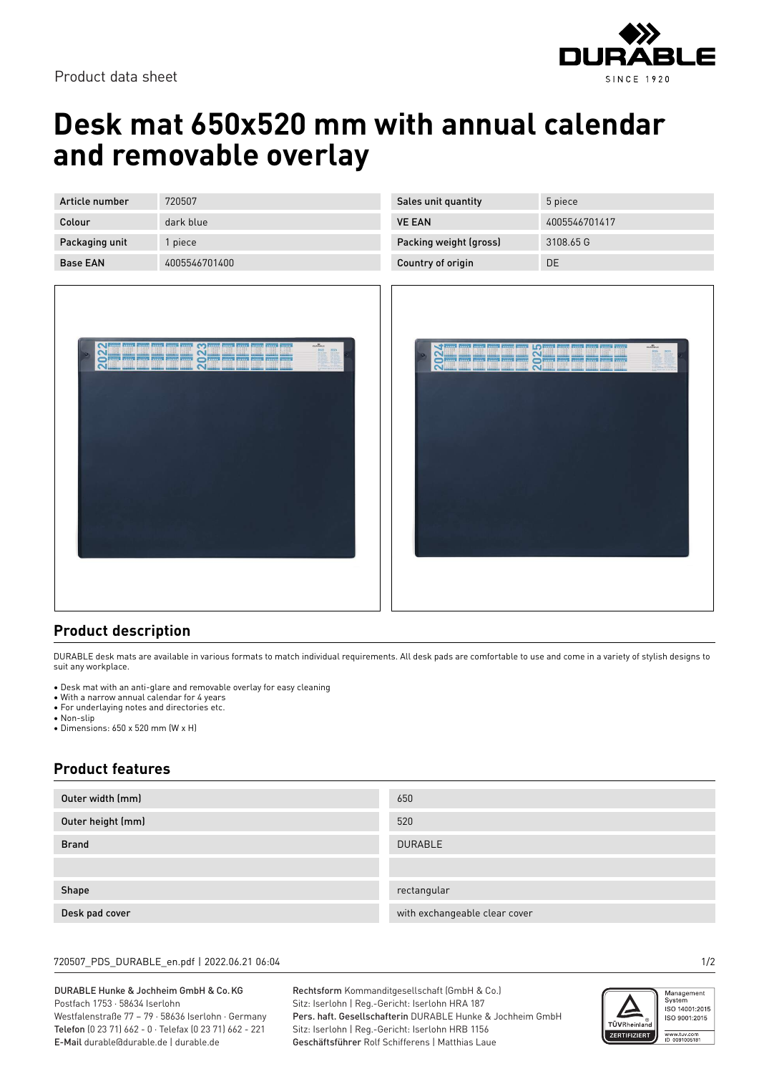

# **Desk mat 650x520 mm with annual calendar and removable overlay**

| Article number  | 720507        |
|-----------------|---------------|
| Colour          | dark blue     |
| Packaging unit  | 1 piece       |
| <b>Base EAN</b> | 4005546701400 |



| Sales unit quantity    | 5 piece       |
|------------------------|---------------|
| <b>VE EAN</b>          | 4005546701417 |
| Packing weight (gross) | 3108.65 G     |
| Country of origin      | DE            |



### **Product description**

DURABLE desk mats are available in various formats to match individual requirements. All desk pads are comfortable to use and come in a variety of stylish designs to suit any workplace.

- Desk mat with an anti-glare and removable overlay for easy cleaning
- With a narrow annual calendar for 4 years • For underlaying notes and directories etc.
- Non-slip
- Dimensions: 650 x 520 mm (W x H)

### **Product features**

| Outer width (mm)  | 650                           |
|-------------------|-------------------------------|
| Outer height (mm) | 520                           |
| <b>Brand</b>      | <b>DURABLE</b>                |
|                   |                               |
| Shape             | rectangular                   |
| Desk pad cover    | with exchangeable clear cover |

#### 720507\_PDS\_DURABLE\_en.pdf | 2022.06.21 06:04 1/2

#### DURABLE Hunke & Jochheim GmbH & Co.KG Postfach 1753 · 58634 Iserlohn Westfalenstraße 77 – 79 · 58636 Iserlohn · Germany

Telefon (0 23 71) 662 - 0 · Telefax (0 23 71) 662 - 221 E-Mail durable@durable.de | durable.de

Rechtsform Kommanditgesellschaft (GmbH & Co.) Sitz: Iserlohn | Reg.-Gericht: Iserlohn HRA 187 Pers. haft. Gesellschafterin DURABLE Hunke & Jochheim GmbH Sitz: Iserlohn | Reg.-Gericht: Iserlohn HRB 1156 Geschäftsführer Rolf Schifferens | Matthias Laue